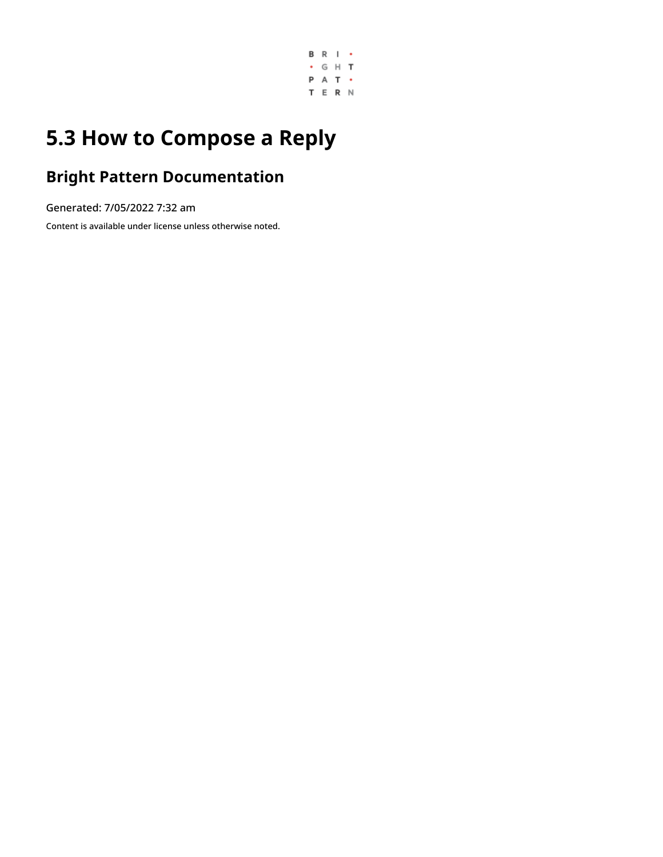

# **5.3 How to Compose a Reply**

## **Bright Pattern Documentation**

Generated: 7/05/2022 7:32 am

Content is available under license unless otherwise noted.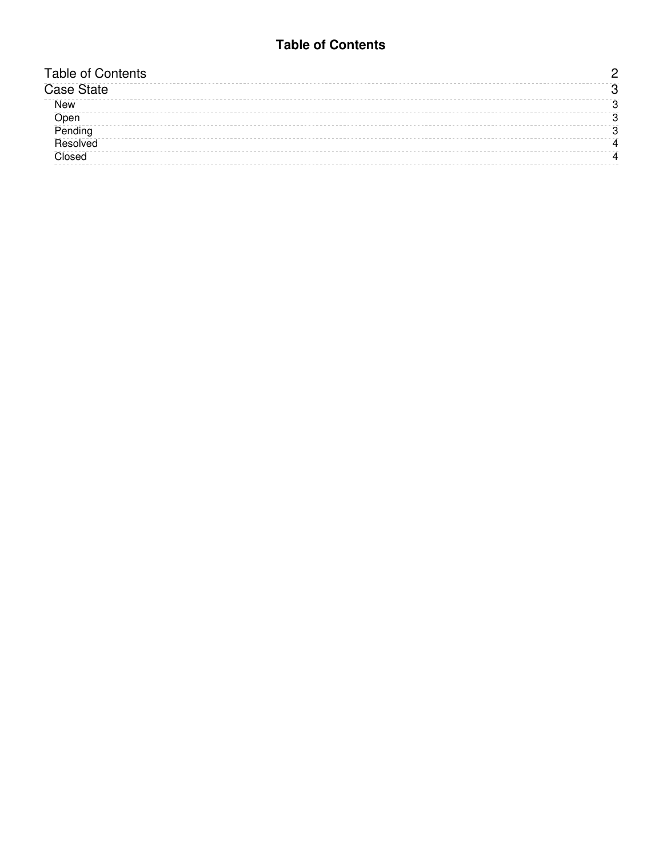#### **Table of Contents**

<span id="page-1-0"></span>

| <b>Table of Contents</b> |  |
|--------------------------|--|
| <b>Case State</b>        |  |
| <b>New</b>               |  |
| Open                     |  |
| Pending                  |  |
| Resolved                 |  |
| Closed                   |  |
|                          |  |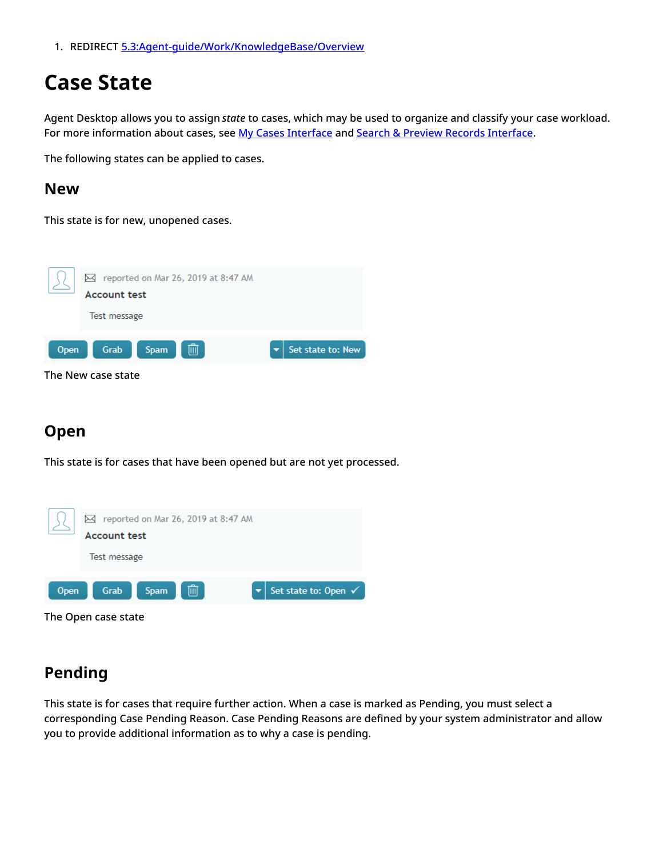1. REDIRECT [5.3:Agent-guide/Work/KnowledgeBase/Overview](https://help.brightpattern.com/5.3:Agent-guide/Work/KnowledgeBase/Overview)

## <span id="page-2-0"></span>**Case State**

Agent Desktop allows you to assign *state* to cases, which may be used to organize and classify your case workload. For more information about cases, see My Cases [Interface](https://help.brightpattern.com/5.3:Agent-guide/Work/SearchandPreviewRecords/SearchandPreviewInterface#Cases) and Search & Preview Records Interface.

The following states can be applied to cases.

#### <span id="page-2-1"></span>**New**

This state is for new, unopened cases.



## <span id="page-2-2"></span>**Open**

This state is for cases that have been opened but are not yet processed.



## <span id="page-2-3"></span>**Pending**

This state is for cases that require further action. When a case is marked as Pending, you must select a corresponding Case Pending Reason. Case Pending Reasons are defined by your system administrator and allow you to provide additional information as to why a case is pending.